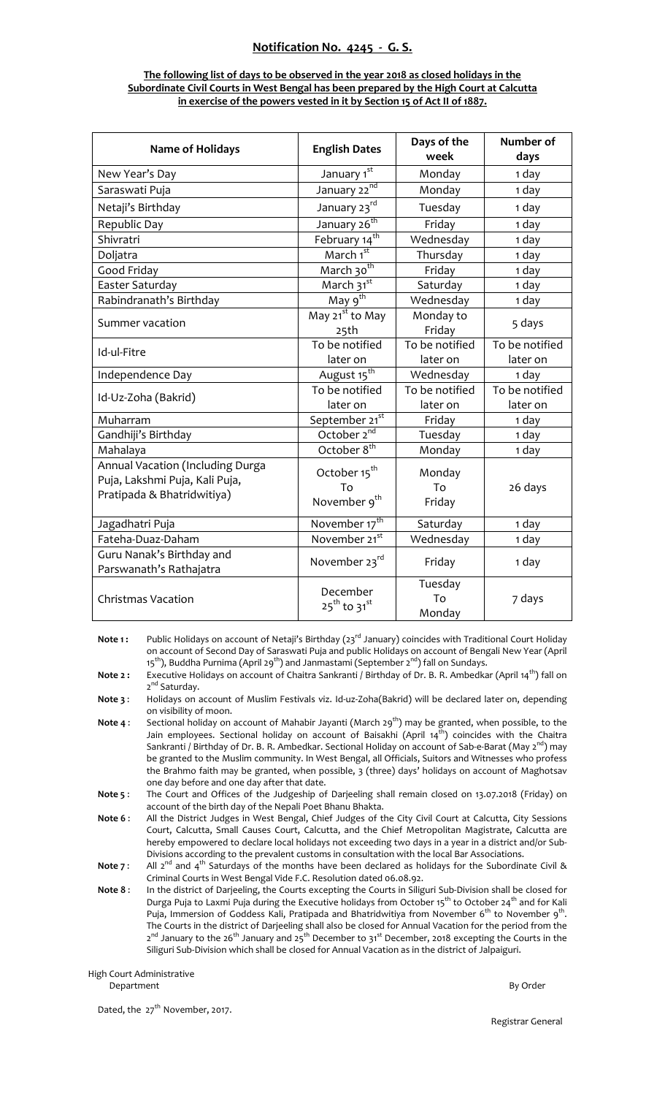## **Notification No. 4245 ‐ G. S.**

## **The following list of days to be observed in the year 2018 as closed holidays in the Subordinate Civil Courts in West Bengal has been prepared by the High Court at Calcutta in exercise of the powers vested in it by Section 15 of Act II of 1887.**

| <b>Name of Holidays</b>                                                                          | <b>English Dates</b>                                       | Days of the<br>week        | Number of<br>days          |
|--------------------------------------------------------------------------------------------------|------------------------------------------------------------|----------------------------|----------------------------|
| New Year's Day                                                                                   | January 1st                                                | Monday                     | 1 day                      |
| Saraswati Puja                                                                                   | January 22nd                                               | Monday                     | 1 day                      |
| Netaji's Birthday                                                                                | January 23rd                                               | Tuesday                    | 1 day                      |
| Republic Day                                                                                     | January 26 <sup>th</sup>                                   | Friday                     | 1 day                      |
| Shivratri                                                                                        | February 14 <sup>th</sup>                                  | Wednesday                  | 1 day                      |
| Doljatra                                                                                         | March 1 <sup>st</sup>                                      | Thursday                   | 1 day                      |
| Good Friday                                                                                      | March 30 <sup>th</sup>                                     | Friday                     | 1 day                      |
| Easter Saturday                                                                                  | March 31st                                                 | Saturday                   | 1 day                      |
| Rabindranath's Birthday                                                                          | May 9 <sup>th</sup>                                        | Wednesday                  | 1 day                      |
| Summer vacation                                                                                  | May 21 <sup>st</sup> to May<br>25th                        | Monday to<br>Friday        | 5 days                     |
| Id-ul-Fitre                                                                                      | To be notified<br>later on                                 | To be notified<br>later on | To be notified<br>later on |
| Independence Day                                                                                 | August 15 <sup>th</sup>                                    | Wednesday                  | 1 day                      |
| Id-Uz-Zoha (Bakrid)                                                                              | To be notified                                             | To be notified             | To be notified             |
|                                                                                                  | later on                                                   | later on                   | later on                   |
| Muharram                                                                                         | September 21st                                             | Friday                     | 1 day                      |
| Gandhiji's Birthday                                                                              | October 2 <sup>nd</sup>                                    | Tuesday                    | 1 day                      |
| Mahalaya                                                                                         | October 8 <sup>th</sup>                                    | Monday                     | 1 day                      |
| Annual Vacation (Including Durga<br>Puja, Lakshmi Puja, Kali Puja,<br>Pratipada & Bhatridwitiya) | October 15 <sup>th</sup><br>To<br>November 9 <sup>th</sup> | Monday<br>To<br>Friday     | 26 days                    |
| Jagadhatri Puja                                                                                  | November 17 <sup>th</sup>                                  | Saturday                   | 1 day                      |
| Fateha-Duaz-Daham                                                                                | November 21 <sup>st</sup>                                  | Wednesday                  | 1 day                      |
| Guru Nanak's Birthday and<br>Parswanath's Rathajatra                                             | November 23rd                                              | Friday                     | 1 day                      |
| <b>Christmas Vacation</b>                                                                        | December<br>25 <sup>th</sup> to 31st                       | Tuesday<br>To<br>Monday    | 7 days                     |

**Note 1:** Public Holidays on account of Netaji's Birthday (23<sup>rd</sup> January) coincides with Traditional Court Holiday on account of Second Day of Saraswati Puja and public Holidays on account of Bengali New Year (April 15<sup>th</sup>), Buddha Purnima (April 29<sup>th</sup>) and Janmastami (September 2<sup>nd</sup>) fall on Sundays.

**Note 2 :** Executive Holidays on account of Chaitra Sankranti / Birthday of Dr. B. R. Ambedkar (April 14<sup>th</sup>) fall on 2<sup>nd</sup> Saturday.

**Note 3** : Holidays on account of Muslim Festivals viz. Id‐uz‐Zoha(Bakrid) will be declared later on, depending on visibility of moon.

**Note 4** : Sectional holiday on account of Mahabir Jayanti (March 29<sup>th</sup>) may be granted, when possible, to the Jain employees. Sectional holiday on account of Baisakhi (April 14<sup>th</sup>) coincides with the Chaitra Sankranti / Birthday of Dr. B. R. Ambedkar. Sectional Holiday on account of Sab-e-Barat (May 2<sup>nd</sup>) may be granted to the Muslim community. In West Bengal, all Officials, Suitors and Witnesses who profess the Brahmo faith may be granted, when possible, 3 (three) days' holidays on account of Maghotsav one day before and one day after that date.

**Note 5** : The Court and Offices of the Judgeship of Darjeeling shall remain closed on 13.07.2018 (Friday) on account of the birth day of the Nepali Poet Bhanu Bhakta.

**Note 6** : All the District Judges in West Bengal, Chief Judges of the City Civil Court at Calcutta, City Sessions Court, Calcutta, Small Causes Court, Calcutta, and the Chief Metropolitan Magistrate, Calcutta are hereby empowered to declare local holidays not exceeding two days in a year in a district and/or Sub‐ Divisions according to the prevalent customs in consultation with the local Bar Associations.

**Note** 7: All 2<sup>nd</sup> and 4<sup>th</sup> Saturdays of the months have been declared as holidays for the Subordinate Civil & Criminal Courts in West Bengal Vide F.C. Resolution dated 06.08.92.

**Note 8** : In the district of Darjeeling, the Courts excepting the Courts in Siliguri Sub‐Division shall be closed for Durga Puja to Laxmi Puja during the Executive holidays from October 15<sup>th</sup> to October 24<sup>th</sup> and for Kali Puja, Immersion of Goddess Kali, Pratipada and Bhatridwitiya from November 6<sup>th</sup> to November 9<sup>th</sup>. The Courts in the district of Darjeeling shall also be closed for Annual Vacation for the period from the 2<sup>nd</sup> January to the 26<sup>th</sup> January and 25<sup>th</sup> December to 31<sup>st</sup> December, 2018 excepting the Courts in the Siliguri Sub‐Division which shall be closed for Annual Vacation as in the district of Jalpaiguri.

High Court Administrative Department By Order

Dated, the 27<sup>th</sup> November, 2017.